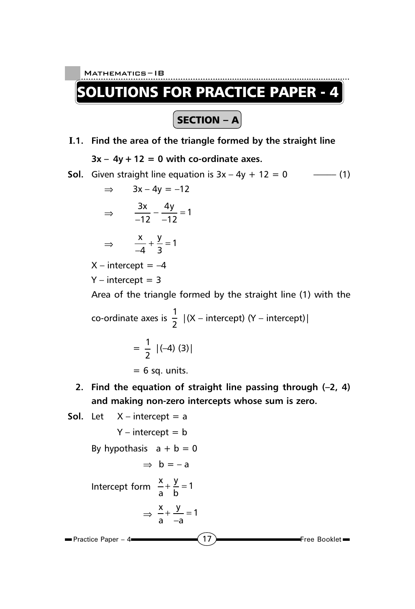UTIONS FOR PRACTICE PAPER - 4

 $\fbox{SECTION - A}$ 

- **I.1. Find the area of the triangle formed by the straight line**  $3x - 4y + 12 = 0$  with co-ordinate axes.
- **Sol.** Given straight line equation is  $3x 4y + 12 = 0$  ––––(1)

$$
\Rightarrow \quad 3x - 4y = -12
$$

$$
\Rightarrow \quad \frac{3x}{-12} - \frac{4y}{-12} = 1
$$

$$
\Rightarrow \qquad \frac{x}{-4} + \frac{y}{3} = 1
$$

 $X$  – intercept =  $-4$ 

 $Y$  – intercept = 3

Area of the triangle formed by the straight line (1) with the

co-ordinate axes is  $\frac{1}{2}$   $|(X -$  intercept)  $(Y -$  intercept)

$$
= \frac{1}{2} |(-4)(3)|
$$

 $= 6$  sq. units.

**2. Find the equation of straight line passing through (–2, 4) and making non-zero intercepts whose sum is zero.**

Sol. Let 
$$
X
$$
 – intercept = a

\n
$$
Y
$$
 – intercept = b\nBy hypothesis  $a + b = 0$ 

\n
$$
\Rightarrow b = -a
$$
\nIntercept form  $\frac{x}{a} + \frac{y}{b} = 1$ 

\n
$$
\Rightarrow \frac{x}{a} + \frac{y}{-a} = 1
$$
\nPractice Paper - 4

\nThe Booklet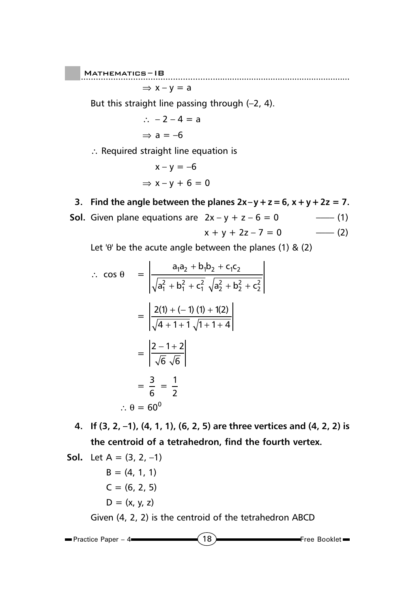$M$ ATHEMATICS-IB Mathematics ......................................................... – IB

 $\Rightarrow$  x – y = a

But this straight line passing through (–2, 4).

$$
\therefore -2 - 4 = a
$$
\n
$$
\Rightarrow a = -6
$$

∴ Required straight line equation is

$$
x - y = -6
$$
  
\n
$$
\Rightarrow x - y + 6 = 0
$$

**3.** Find the angle between the planes  $2x-y+z=6$ ,  $x+y+2z=7$ .

**Sol.** Given plane equations are  $2x - y + z - 6 = 0$  –––(1)  $x + y + 2z - 7 = 0$  --- (2)

Let ' $\theta$ ' be the acute angle between the planes (1) & (2)

$$
\therefore \cos \theta = \frac{a_1a_2 + b_1b_2 + c_1c_2}{\sqrt{a_1^2 + b_1^2 + c_1^2} \sqrt{a_2^2 + b_2^2 + c_2^2}}
$$

$$
= \frac{2(1) + (-1)(1) + 1(2)}{\sqrt{4 + 1 + 1} \sqrt{1 + 1 + 4}}
$$

$$
= \frac{2 - 1 + 2}{\sqrt{6} \sqrt{6}}
$$

$$
= \frac{3}{6} = \frac{1}{2}
$$

$$
\therefore \theta = 60^{\circ}
$$

**4. If (3, 2, –1), (4, 1, 1), (6, 2, 5) are three vertices and (4, 2, 2) is the centroid of a tetrahedron, find the fourth vertex.**

**Sol.** Let 
$$
A = (3, 2, -1)
$$

\n $B = (4, 1, 1)$ 

\n $C = (6, 2, 5)$ 

\n $D = (x, y, z)$ 

\nGiven  $(4, 2, 2)$  is the centroid of the tetrahedron ABCD

18 **Free Booklet Practice Paper – 4**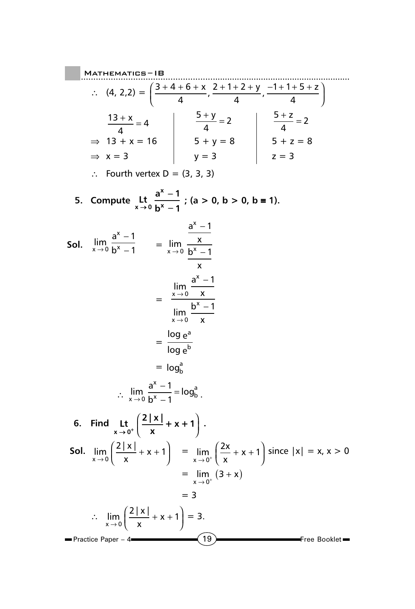$(19)$  Free Booklet ..................................................... Mathematics ......................................................... – IB  $\blacksquare$  Practice Paper – 4 $\blacksquare$ ∴ (4, 2,2) =  $\frac{3+4+6}{1}$ 4  $2 + 1 + 2$ 4  $1+1+5$ 4  $(3 + 4 + 6 + x + 2 + 1 + 2 + y + -1 + 1 + 5 +$  $\left(\frac{3+4+6+x}{4}, \frac{2+1+2+y}{4}, \frac{-1+1+5+z}{4}\right)$ 13 4  $\frac{+ x}{4} = 4$   $\frac{5 +}4$  $\frac{+y}{2}$  = 2  $\qquad$  | 5 4  $\frac{+ z}{2} = 2$  $\Rightarrow$  13 + x = 16  $\vert$  5 + y = 8  $\vert$  5 + z = 8 ⇒ x = 3 y = 3 z = 3 ∴ Fourth vertex D = (3, 3, 3) **5.** Compute Lt  $\frac{a^x - 1}{b^x}$  $x \rightarrow 0$  **b**<sup>x</sup> - 1 **x**  $\rightarrow$  0 h<sup>x</sup> − − **; (a > 0, b > 0, b** ≡ **1). Sol.** l<sup>im</sup><br>×→ x x a  $\rightarrow$  0  $\bm{b}$ 1 1 −  $\frac{1}{-1}$  = lim x x a x  $\rightarrow$  0  $p$ x 1 1 − − = lim lim x x x x a x b x  $\rightarrow$  $\rightarrow$ 0 0 1 1 − −  $=\frac{\log n}{n}$ log e e a b  $=$   $log_b^a$  $\therefore \lim_{x \to 0} \frac{a}{b^x - 1} = \log$ x  $\frac{x}{1}$  -  $\frac{9}{b}$  $a^x - 1$ <sub>— log</sub>a  $\rightarrow$  0  $\beta$ 1 1  $\frac{-1}{-1}$ =  $\log_{b}^{a}$ . **6.** Find Lt  $\left(\frac{2|x|}{|x|}\right)$ **x**  $\mathbf{L}$ **t**  $\frac{1}{x}$  +  $\frac{1}{x}$  +  $\frac{1}{x}$  +  $\frac{1}{x}$  +  $\frac{1}{x}$ ſ  $\left(\frac{2|x|}{x}+x+1\right)$ . **Sol.**  $\lim_{x \to 0} \left( \frac{2 |x|}{x} \right)$ x  $\lim_{x\to 0} \left( \frac{2 |x|}{x} + x + 1 \right)$  $\left(\frac{2|x|}{x}+x+1\right)$  =  $\lim_{x\to 0}$ x  $\lim_{x \to 0^+} \left( \frac{2x}{x} + x + 1 \right)$  since  $|x| = x, x > 0$  $= \lim_{x \to 0^+} (3 + x)$ = 3 ∴  $\lim_{x\to 0} \left( \frac{2 |x|}{x} \right)$ x  $\lim_{x\to 0} \left( \frac{2 |x|}{x} + x + 1 \right)$  $\left(\frac{2|x|}{x} + x + 1\right) = 3.$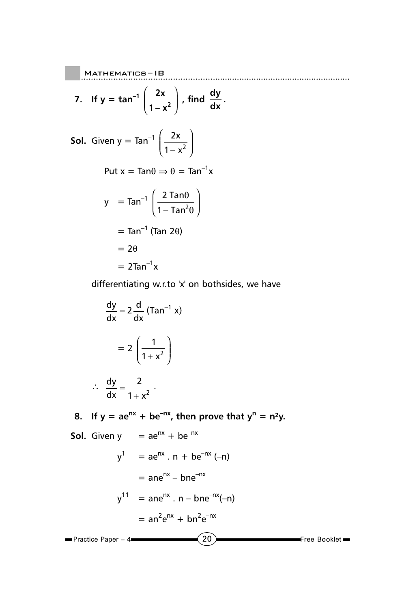Mathematics ......................................................... – IB **7.** If  $y = \tan^{-1} \left( \frac{2x}{2} \right)$  $1 - x^2$ ſ l I  $\overline{a}$  $\overline{1}$  $\int$ , find  $\frac{dy}{dx}$ . **Sol.** Given  $y = Tan^{-1}$   $\left(\frac{2}{2}\right)$  $1 - x^2$ x − x ſ l I Ì  $\overline{\phantom{a}}$ I Put  $x = Tan\theta \Rightarrow \theta = Tan^{-1}x$  $y = Tan^{-1} \left( \frac{2}{2} \right)$  $1 - Tan<sup>2</sup>$ Tan Tan θ  $-$  Tan $^2\theta$ ſ l I  $\lambda$  $\overline{1}$   $=$  Tan<sup>-1</sup> (Tan 2 $\theta$ )  $= 2\theta$  $= 2$ Tan<sup>-1</sup>x

 $\vert$  Mathematics-IB

differentiating w.r.to 'x' on bothsides, we have

$$
\frac{dy}{dx} = 2\frac{d}{dx} (\text{Tan}^{-1} x)
$$

$$
= 2\left(\frac{1}{1+x^2}\right)
$$

$$
\therefore \frac{dy}{dx} = \frac{2}{1 + x^2} \ .
$$

8. If  $y = ae^{nx} + be^{-nx}$ , then prove that  $y^n = n^2y$ .

**Sol.** Given  $y = ae^{nx} + be^{-nx}$ 

$$
y1 = aenx \cdot n + be-nx (-n)
$$
  
=  $ane^{nx} - bne^{-nx}$   

$$
y11 = anenx \cdot n - bne^{-nx}(-n)
$$
  
=  $an2enx + bn2e-nx$   
Practice Paper - 4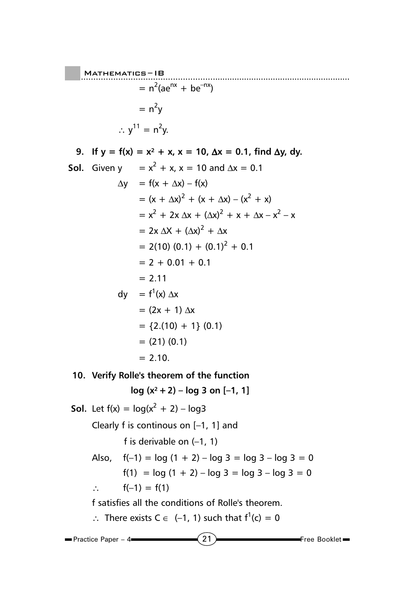..................................................... Mathematics ......................................................... – IB  $= n<sup>2</sup>(ae<sup>nx</sup> + be<sup>-nx</sup>)$  $= n<sup>2</sup>y$  $\therefore$  y<sup>11</sup> = n<sup>2</sup>y.

9. If  $y = f(x) = x^2 + x$ ,  $x = 10$ ,  $\Delta x = 0.1$ , find  $\Delta y$ , dy. **Sol.** Given  $y = x^2 + x$ ,  $x = 10$  and  $\Delta x = 0.1$  $\Delta y = f(x + \Delta x) - f(x)$  $= (x + \Delta x)^2 + (x + \Delta x) - (x^2 + x)$  $= x^{2} + 2x \Delta x + (\Delta x)^{2} + x + \Delta x - x^{2} - x$  $= 2x \Delta X + (\Delta x)^2 + \Delta x$  $= 2(10) (0.1) + (0.1)^{2} + 0.1$  $= 2 + 0.01 + 0.1$  $= 2.11$ dy =  $f^1(x)$  ∆x  $= (2x + 1) \Delta x$  $= \{2.(10) + 1\} (0.1)$  $= (21) (0.1)$  $= 2.10$ 

**10. Verify Rolle's theorem of the function**

**log (x² +2) – log 3 on [–1, 1]**

 $\left(21\right)$  Free Booklet **Practice Paper – 4 Sol.** Let  $f(x) = log(x^2 + 2) - log3$ Clearly f is continous on [–1, 1] and f is derivable on (–1, 1) Also,  $f(-1) = \log (1 + 2) - \log 3 = \log 3 - \log 3 = 0$ f(1) =  $log(1 + 2) - log 3 = log 3 - log 3 = 0$ ∴  $f(-1) = f(1)$ f satisfies all the conditions of Rolle's theorem. ∴ There exists  $C \in (-1, 1)$  such that  $f^1(c) = 0$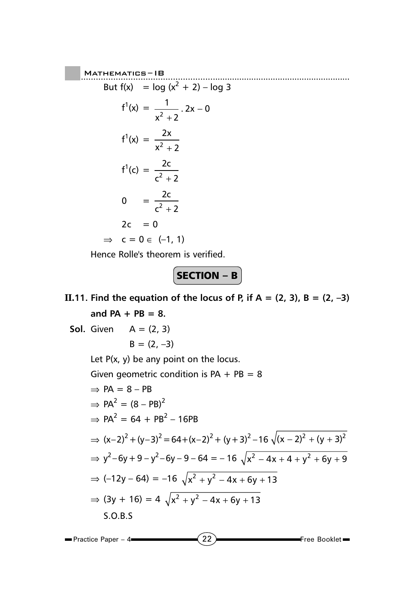Mathematics—IB

\nBut 
$$
f(x) = \log (x^2 + 2) - \log 3
$$

\n
$$
f^1(x) = \frac{1}{x^2 + 2} \cdot 2x - 0
$$
\n
$$
f^1(x) = \frac{2x}{x^2 + 2}
$$
\n
$$
f^1(c) = \frac{2c}{c^2 + 2}
$$
\n
$$
0 = \frac{2c}{c^2 + 2}
$$
\n
$$
2c = 0
$$
\n
$$
\Rightarrow c = 0 \in (-1, 1)
$$

Hence Rolle's theorem is verified.

$$
\fbox{\textbf{SECTION - B}}
$$

**II.11. Find the equation of the locus of P, if**  $A = (2, 3)$ **,**  $B = (2, -3)$ **and PA + PB = 8.**

**Sol.** Given 
$$
A = (2, 3)
$$

\n $B = (2, -3)$ 

\nLet  $P(x, y)$  be any point on the locus.

\nGiven geometric condition is  $PA + PB = 8$ 

\n $\Rightarrow PA = 8 - PB$ 

\n $\Rightarrow PA^2 = (8 - PB)^2$ 

\n $\Rightarrow PA^2 = 64 + PB^2 - 16PB$ 

\n $\Rightarrow (x-2)^2 + (y-3)^2 = 64 + (x-2)^2 + (y+3)^2 - 16\sqrt{(x-2)^2 + (y+3)^2}$ 

\n $\Rightarrow y^2 - 6y + 9 - y^2 - 6y - 9 - 64 = -16\sqrt{x^2 - 4x + 4 + y^2 + 6y + 9}$ 

\n $\Rightarrow (-12y - 64) = -16\sqrt{x^2 + y^2 - 4x + 6y + 13}$ 

\n $\Rightarrow (3y + 16) = 4\sqrt{x^2 + y^2 - 4x + 6y + 13}$ 

\nS.O.B.S

\n• Practice Paper - 4

\n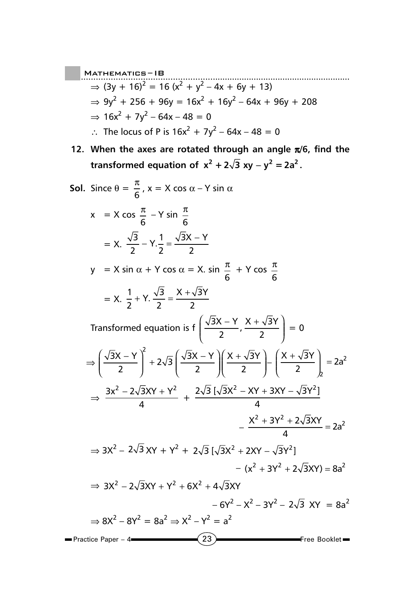- ..................................................... Mathematics ......................................................... IB  $\Rightarrow$  (3y + 16)<sup>2</sup> = 16 (x<sup>2</sup> + y<sup>2</sup> – 4x + 6y + 13)  $\Rightarrow$  9y<sup>2</sup> + 256 + 96y = 16x<sup>2</sup> + 16y<sup>2</sup> – 64x + 96y + 208  $\Rightarrow$  16x<sup>2</sup> + 7y<sup>2</sup> – 64x – 48 = 0 ∴ The locus of P is  $16x^2 + 7y^2 - 64x - 48 = 0$
- **12. When the axes are rotated through an angle** π**/6, find the transformed equation of**  $x^2 + 2\sqrt{3}$  **xy**  $-y^2 = 2a^2$ **.**

**Sol.** Since 
$$
\theta = \frac{\pi}{6}
$$
,  $x = X \cos \alpha - Y \sin \alpha$ 

\n
$$
x = X \cos \frac{\pi}{6} - Y \sin \frac{\pi}{6}
$$
\n
$$
= X \cdot \frac{\sqrt{3}}{2} - Y \cdot \frac{1}{2} = \frac{\sqrt{3}X - Y}{2}
$$
\n
$$
y = X \sin \alpha + Y \cos \alpha = X \cdot \sin \frac{\pi}{6} + Y \cos \frac{\pi}{6}
$$
\n
$$
= X \cdot \frac{1}{2} + Y \cdot \frac{\sqrt{3}}{2} = \frac{X + \sqrt{3}Y}{2}
$$
\nTransformed equation is  $f\left(\frac{\sqrt{3}X - Y}{2}, \frac{X + \sqrt{3}Y}{2}\right) = 0$ 

\n
$$
\Rightarrow \left(\frac{\sqrt{3}X - Y}{2}\right)^2 + 2\sqrt{3}\left(\frac{\sqrt{3}X - Y}{2}\right) \left(\frac{X + \sqrt{3}Y}{2}\right) - \left(\frac{X + \sqrt{3}Y}{2}\right) = 2a^2
$$
\n
$$
\Rightarrow \frac{3x^2 - 2\sqrt{3}XY + Y^2}{4} + \frac{2\sqrt{3}[\sqrt{3}X^2 - XY + 3XY - \sqrt{3}Y^2]}{4}
$$
\n
$$
- \frac{X^2 + 3Y^2 + 2\sqrt{3}XY}{4} = 2a^2
$$
\n
$$
\Rightarrow 3X^2 - 2\sqrt{3}XY + Y^2 + 2\sqrt{3}[\sqrt{3}X^2 + 2XY - \sqrt{3}Y^2]
$$
\n
$$
- (x^2 + 3Y^2 + 2\sqrt{3}XY) = 8a^2
$$
\n
$$
\Rightarrow 3X^2 - 2\sqrt{3}XY + Y^2 + 6X^2 + 4\sqrt{3}XY
$$
\n
$$
- 6Y^2 - X^2 - 3Y^2 - 2\sqrt{3}XY = 8a^2
$$
\n
$$
\Rightarrow 8X^2 - 8Y^2 = 8a^2 \Rightarrow X^2 - Y^2 = a^2
$$

23 **Free Booklet Practice Paper – 4**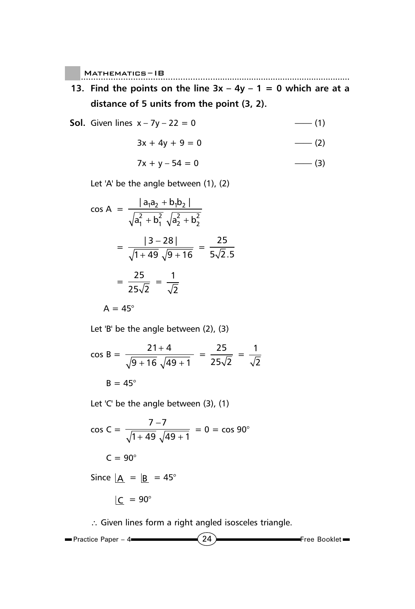$\blacksquare$  MATHEMATICS-IB

- **13. Find the points on the line**  $3x 4y 1 = 0$  **which are at a distance of 5 units from the point (3, 2).**
- **Sol.** Given lines x 7y 22 = 0 –––– (1)

$$
3x + 4y + 9 = 0
$$
 (2)

Mathematics ......................................................... – IB

$$
7x + y - 54 = 0
$$
 (3)

Let 'A' be the angle between (1), (2)

$$
\cos A = \frac{|a_1a_2 + b_1b_2|}{\sqrt{a_1^2 + b_1^2} \sqrt{a_2^2 + b_2^2}}
$$
  
= 
$$
\frac{|3 - 28|}{\sqrt{1 + 49} \sqrt{9 + 16}} = \frac{25}{5\sqrt{2.5}}
$$
  
= 
$$
\frac{25}{25\sqrt{2}} = \frac{1}{\sqrt{2}}
$$

$$
A=45^\circ
$$

Let 'B' be the angle between (2), (3)

$$
\cos B = \frac{21 + 4}{\sqrt{9 + 16} \sqrt{49 + 1}} = \frac{25}{25\sqrt{2}} = \frac{1}{\sqrt{2}}
$$
  
B = 45°

Let 'C' be the angle between (3), (1)

$$
\cos C = \frac{7 - 7}{\sqrt{1 + 49} \sqrt{49 + 1}} = 0 = \cos 90^{\circ}
$$
  

$$
C = 90^{\circ}
$$
  
Since  $\underline{A} = \underline{B} = 45^{\circ}$ 

$$
\underline{\mathsf{C}} = 90^{\circ}
$$

∴ Given lines form a right angled isosceles triangle.

$$
\blacksquare \text{Practice Paper } -4 \blacksquare
$$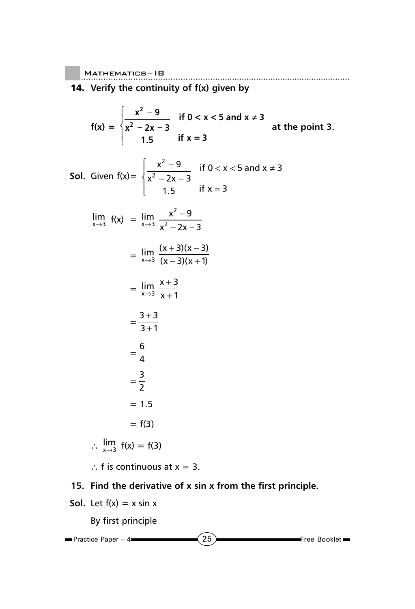## 14. **Verify the continuity of f(x) given by**

$$
f(x) = \begin{cases} \frac{x^2 - 9}{x^2 - 2x - 3} & \text{if } 0 < x < 5 \text{ and } x \neq 3\\ 1.5 & \text{if } x = 3 \end{cases}
$$
 at the point 3.

**Sol.** Given 
$$
f(x) = \begin{cases} \frac{x^2 - 9}{x^2 - 2x - 3} & \text{if } 0 < x < 5 \text{ and } x \neq 3 \\ 1.5 & \text{if } x = 3 \end{cases}
$$

$$
\lim_{x \to 3} f(x) = \lim_{x \to 3} \frac{x^2 - 9}{x^2 - 2x - 3}
$$

$$
= \lim_{x \to 3} \frac{(x+3)(x-3)}{(x-3)(x+1)}
$$

$$
= \lim_{x \to 3} \frac{x+3}{x+1}
$$

$$
=\frac{3+3}{3+1}
$$

$$
=\frac{6}{4}
$$

$$
=\frac{1}{2}
$$

$$
= 1.5
$$

= 3

$$
= f(3)
$$

$$
\therefore \lim_{x \to 3} f(x) = f(3)
$$

∴ f is continuous at  $x = 3$ .

## **15. Find the derivative of x sin x from the first principle.**

**Sol.** Let  $f(x) = x \sin x$ 

By first principle

$$
\blacksquare \text{Practice Paper - 4} \longrightarrow \hspace{1.5cm} \textbf{(25)} \longrightarrow \hspace{1.5cm} \text{Free Booklet} \longrightarrow \hspace{1.5cm} \blacksquare
$$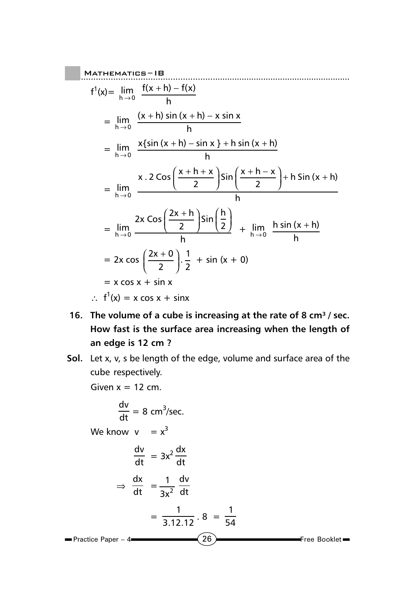Mathematics - IB

\n
$$
f^{1}(x) = \lim_{h \to 0} \frac{f(x+h) - f(x)}{h}
$$
\n
$$
= \lim_{h \to 0} \frac{(x+h) \sin(x+h) - x \sin x}{h}
$$
\n
$$
= \lim_{h \to 0} \frac{x \{ \sin(x+h) - \sin x \} + h \sin(x+h)}{h}
$$
\n
$$
= \lim_{h \to 0} \frac{x \cdot 2 \cos\left(\frac{x+h+x}{2}\right) \sin\left(\frac{x+h-x}{2}\right) + h \sin(x+h)}{h}
$$
\n
$$
= \lim_{h \to 0} \frac{2x \cos\left(\frac{2x+h}{2}\right) \sin\left(\frac{h}{2}\right)}{h} + \lim_{h \to 0} \frac{h \sin(x+h)}{h}
$$
\n
$$
= 2x \cos\left(\frac{2x+0}{2}\right) \cdot \frac{1}{2} + \sin(x+0)
$$
\n
$$
= x \cos x + \sin x
$$
\n
$$
\therefore f^{1}(x) = x \cos x + \sin x
$$

- 16. The volume of a cube is increasing at the rate of 8 cm<sup>3</sup> / sec. **How fast is the surface area increasing when the length of an edge is 12 cm ?**
- **Sol.** Let x, v, s be length of the edge, volume and surface area of the cube respectively.

Given  $x = 12$  cm.

$$
\frac{dv}{dt} = 8 \text{ cm}^3/\text{sec.}
$$
  
We know  $v = x^3$   

$$
\frac{dv}{dt} = 3x^2 \frac{dx}{dt}
$$

$$
\Rightarrow \frac{dx}{dt} = \frac{1}{3x^2} \frac{dv}{dt}
$$

$$
= \frac{1}{3.12.12} \cdot 8 = \frac{1}{54}
$$
Practice Paper - 4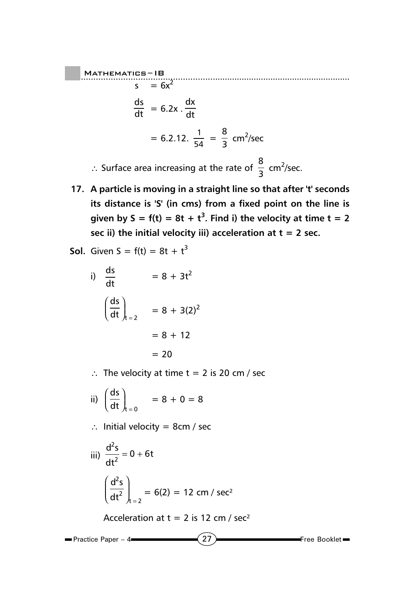..................................................... Mathematics ......................................................... – IB  $s = 6x^2$  $\frac{ds}{dt}$  = 6.2x .  $\frac{dx}{dt}$ dt  $= 6.2.12. \frac{1}{54} = \frac{8}{3}$  cm<sup>2</sup>/sec ∴ Surface area increasing at the rate of  $\frac{8}{3}$  cm<sup>2</sup>/sec.

- **17. A particle is moving in a straight line so that after 't' seconds its distance is 'S' (in cms) from a fixed point on the line is** given by  $S = f(t) = 8t + t^3$ . Find i) the velocity at time  $t = 2$ **sec ii) the initial velocity iii) acceleration at t = 2 sec.**
- **Sol.** Given  $S = f(t) = 8t + t^3$

i) 
$$
\frac{ds}{dt} = 8 + 3t^2
$$

$$
\left(\frac{ds}{dt}\right)_{t=2} = 8 + 3(2)^2
$$

$$
= 8 + 12
$$

$$
= 20
$$

- ∴ The velocity at time t = 2 is 20 cm / sec
- ii)  $\int \frac{ds}{dt}$ dt  $\int_{\mathsf{t}}$ ſ  $\left(\frac{ds}{dt}\right)_{t=0}$  $= 8 + 0 = 8$
- ∴ Initial velocity = 8cm / sec

iii) 
$$
\frac{d^2s}{dt^2} = 0 + 6t
$$
  
 $\left(\frac{d^2s}{dt^2}\right)_{t=2} = 6(2) = 12 \text{ cm} / \text{sec}^2$ 

Acceleration at  $t = 2$  is 12 cm / sec<sup>2</sup>

$$
\blacksquare \text{Practice Paper -4} \hspace{1.5cm} \longrightarrow \hspace{1.5cm} \boxed{27} \hspace{1.5cm} \blacksquare \text{Free Booklet} \blacksquare
$$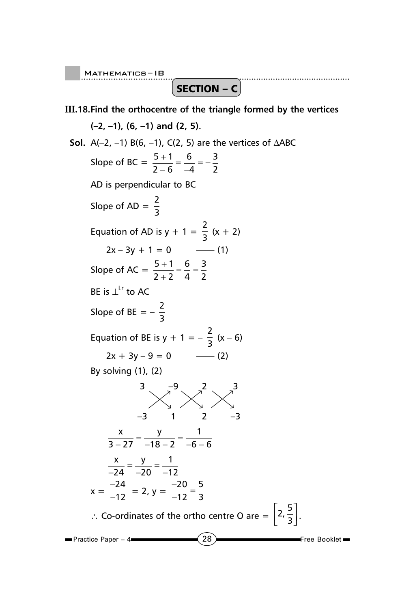SECTION –  $c$ 

## **III.18.Find the orthocentre of the triangle formed by the vertices**

**(–2, –1), (6, –1) and (2, 5). Sol.** A(–2, –1) B(6, –1), C(2, 5) are the vertices of ∆ABC Slope of BC =  $\frac{5+1}{2-6}$ 6 4 3 2  $\frac{+1}{-6} = \frac{6}{-4} = -$ AD is perpendicular to BC Slope of AD =  $\frac{2}{3}$ Equation of AD is  $y + 1 = \frac{2}{3}(x + 2)$ 2x – 3y + 1 = 0 —— (1) Slope of AC =  $\frac{5+1}{2+2}$ 6 4 3 2  $\frac{+1}{+2} = \frac{6}{4} =$ BE is  $\perp^{\text{Lr}}$  to AC Slope of BE =  $-\frac{2}{3}$ Equation of BE is  $y + 1 = -\frac{2}{3}(x - 6)$ 2x + 3y – 9 = 0 —— (2) By solving (1), (2)  $\frac{3}{2}$   $\frac{3}{2}$   $\frac{3}{2}$   $\frac{3}{2}$ –3 1 2 –3 x y  $3 - 27 - 18 - 2$  $\frac{x}{-27} = \frac{y}{-18-2} = \frac{1}{-6-6}$  $\frac{x}{-24} = \frac{y}{-20} = \frac{1}{-1}$ 12  $x = -\frac{1}{x}$  $\frac{24}{12}$  = 2, y =  $\frac{-20}{-12}$  = 5 3

∴ Co-ordinates of the ortho centre O are =  $\left[2, \frac{5}{3}\right]$  $\left[2,\frac{5}{3}\right].$ 

 $\blacksquare$  Practice Paper – 4 $\blacksquare$ 

 $(28)$  Free Booklet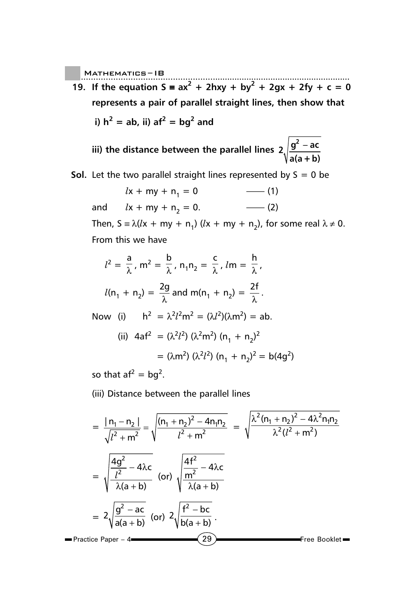**19.** If the equation  $S = ax^2 + 2hxy + by^2 + 2gx + 2fy + c = 0$ **represents a pair of parallel straight lines, then show that**

i) 
$$
h^2 = ab
$$
, ii)  $af^2 = bg^2$  and

**iii) the distance between the parallel lines**  $2\sqrt{\frac{g^2 - ac^2}{m}}$ **a(a+b) <sup>2</sup>** −

**Sol.** Let the two parallel straight lines represented by  $S = 0$  be

$$
lx + my + n_1 = 0
$$
    — (1)  
and    $lx + my + n_2 = 0.$     — (2)

Then,  $S = \lambda (lx + my + n_1)$  ( $lx + my + n_2$ ), for some real  $\lambda \neq 0$ . From this we have

$$
l2 = \frac{a}{\lambda}, m2 = \frac{b}{\lambda}, n1n2 = \frac{c}{\lambda}, lm = \frac{h}{\lambda},
$$
  

$$
l(n1 + n2) = \frac{2g}{\lambda}
$$
 and 
$$
m(n1 + n2) = \frac{2f}{\lambda}.
$$

Now (i)  $h^2 = \lambda^2 l^2 m^2 = (\lambda l^2)(\lambda m^2) = ab$ .

(ii) 
$$
4af^2 = (\lambda^2 l^2) (\lambda^2 m^2) (n_1 + n_2)^2
$$
  
=  $(\lambda m^2) (\lambda^2 l^2) (n_1 + n_2)^2 = b(4g^2)$ 

so that  $af^2 = bg^2$ .

(iii) Distance between the parallel lines

$$
= \frac{|n_1 - n_2|}{\sqrt{l^2 + m^2}} = \sqrt{\frac{(n_1 + n_2)^2 - 4n_1n_2}{l^2 + m^2}} = \sqrt{\frac{\lambda^2(n_1 + n_2)^2 - 4\lambda^2n_1n_2}{\lambda^2(l^2 + m^2)}}
$$

$$
= \sqrt{\frac{4g^2}{l^2} - 4\lambda c} \quad \text{(or)} \sqrt{\frac{4f^2}{m^2} - 4\lambda c}
$$

$$
= 2\sqrt{\frac{g^2 - ac}{a(a + b)}} \quad \text{(or)} \ 2\sqrt{\frac{f^2 - bc}{b(a + b)}}.
$$
Therefore Paper - 4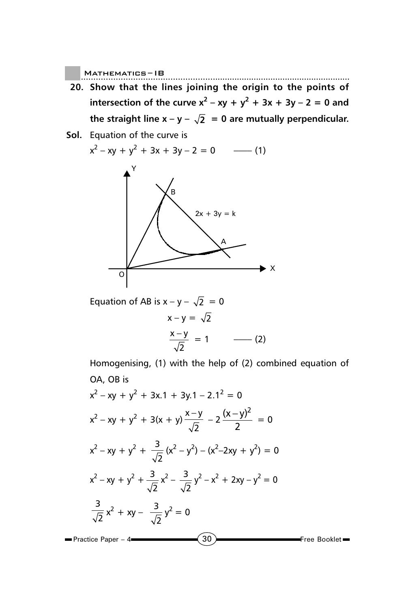- **20. Show that the lines joining the origin to the points of intersection of the curve**  $x^2 - xy + y^2 + 3x + 3y - 2 = 0$  **and** the straight line  $x - y - \sqrt{2} = 0$  are mutually perpendicular.
- **Sol.** Equation of the curve is

$$
x^{2}-xy + y^{2} + 3x + 3y - 2 = 0
$$
 (1)



Equation of AB is  $x - y - \sqrt{2} = 0$  $x - y = \sqrt{2}$  $x - y$ 2  $= 1$  –––––––(2)

Homogenising, (1) with the help of (2) combined equation of OA, OB is

$$
x^{2}-xy + y^{2} + 3x \cdot 1 + 3y \cdot 1 - 2 \cdot 1^{2} = 0
$$
\n
$$
x^{2}-xy + y^{2} + 3(x + y) \frac{x-y}{\sqrt{2}} - 2 \frac{(x-y)^{2}}{2} = 0
$$
\n
$$
x^{2}-xy + y^{2} + \frac{3}{\sqrt{2}}(x^{2}-y^{2}) - (x^{2}-2xy + y^{2}) = 0
$$
\n
$$
x^{2}-xy + y^{2} + \frac{3}{\sqrt{2}}x^{2} - \frac{3}{\sqrt{2}}y^{2} - x^{2} + 2xy - y^{2} = 0
$$
\n
$$
\frac{3}{\sqrt{2}}x^{2} + xy - \frac{3}{\sqrt{2}}y^{2} = 0
$$
\nPractice Paper - 4

\n(30)

\nFree Booklet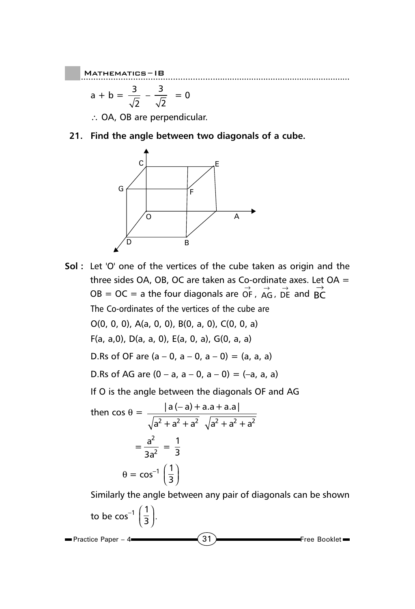$$
a + b = \frac{3}{\sqrt{2}} - \frac{3}{\sqrt{2}} = 0
$$

∴ OA, OB are perpendicular.

**21. Find the angle between two diagonals of a cube.**



**Sol :** Let 'O' one of the vertices of the cube taken as origin and the three sides OA, OB, OC are taken as Co-ordinate axes. Let OA =  $OB = OC =$  a the four diagonals are OF,  $AG$ ,  $DR$  and  $BC$ The Co-ordinates of the vertices of the cube are O(0, 0, 0), A(a, 0, 0), B(0, a, 0), C(0, 0, a) F(a, a,0), D(a, a, 0), E(a, 0, a), G(0, a, a) D.Rs of OF are  $(a - 0, a - 0, a - 0) = (a, a, a)$ D.Rs of AG are  $(0 - a, a - 0, a - 0) = (-a, a, a)$ If O is the angle between the diagonals OF and AG then  $\cos \theta = \frac{|a(-a)+a.a+a.a|}{\sqrt{a^2+|a(1)|^2}}$  $a^2 + a^2 + a^2 \sqrt{a^2 + a^2 + a^2}$ −  $=\frac{a}{2}$ 3a  $\frac{2}{a^2} = \frac{1}{3}$  $\theta = \cos^{-1} \left( \frac{1}{3} \right)$ ſ  $\left(\frac{1}{3}\right)$ Similarly the angle between any pair of diagonals can be shown to be cos<sup>-1</sup>  $\left(\frac{1}{3}\right)$ ſ  $\left(\frac{1}{3}\right)$ .

 $\overline{31}$  Free Booklet

**Practice Paper – 4**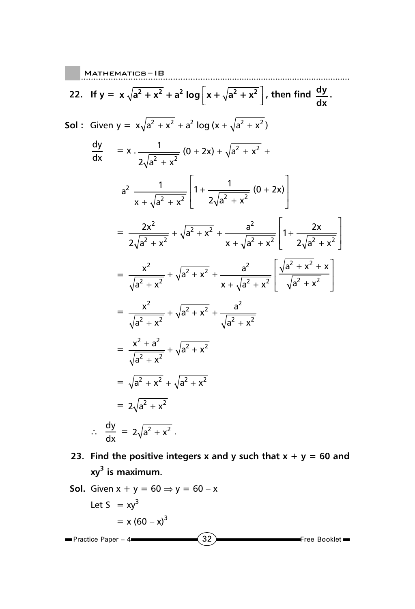22. If 
$$
y = x \sqrt{a^2 + x^2} + a^2 \log|x + \sqrt{a^2 + x^2}|
$$
, then find  $\frac{dy}{dx}$ .  
\n501: Given  $y = x\sqrt{a^2 + x^2} + a^2 \log(x + \sqrt{a^2 + x^2})$   
\n
$$
\frac{dy}{dx} = x \cdot \frac{1}{2\sqrt{a^2 + x^2}} (0 + 2x) + \sqrt{a^2 + x^2} + a^2 \frac{1}{2\sqrt{a^2 + x^2}} (0 + 2x) + \sqrt{a^2 + x^2} + a^2 \frac{1}{2\sqrt{a^2 + x^2}} (0 + 2x) = \frac{2x^2}{2\sqrt{a^2 + x^2}} + \sqrt{a^2 + x^2} + \frac{a^2}{x + \sqrt{a^2 + x^2}} \left[1 + \frac{2x}{2\sqrt{a^2 + x^2}}\right] = \frac{x^2}{\sqrt{a^2 + x^2}} + \sqrt{a^2 + x^2} + \frac{a^2}{x + \sqrt{a^2 + x^2}} \left[\frac{\sqrt{a^2 + x^2} + x}{\sqrt{a^2 + x^2}}\right] = \frac{x^2}{\sqrt{a^2 + x^2}} + \sqrt{a^2 + x^2} + \frac{a^2}{\sqrt{a^2 + x^2}}
$$
  
\n
$$
= \frac{x^2 + a^2}{\sqrt{a^2 + x^2}} + \sqrt{a^2 + x^2} + \frac{a^2}{\sqrt{a^2 + x^2}}
$$
  
\n
$$
= \sqrt{a^2 + x^2} + \sqrt{a^2 + x^2}
$$
  
\n
$$
= 2\sqrt{a^2 + x^2}
$$
  
\n
$$
\therefore \frac{dy}{dx} = 2\sqrt{a^2 + x^2}.
$$

**Contract** 

23. Find the positive integers x and y such that  $x + y = 60$  and **xy3 is maximum.**

Sol. Given 
$$
x + y = 60 \Rightarrow y = 60 - x
$$

\nLet  $S = xy^3$ 

\n $= x (60 - x)^3$ 

\nPractice Paper - 4

\n32

\nFree Booklet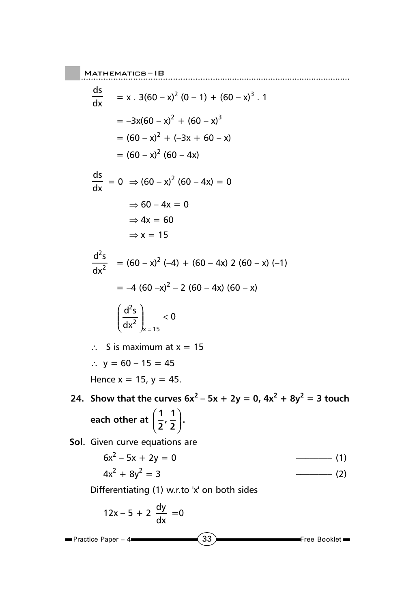$$
\frac{ds}{dx} = x \cdot 3(60 - x)^2 (0 - 1) + (60 - x)^3 \cdot 1
$$
  
\n
$$
= -3x(60 - x)^2 + (60 - x)^3
$$
  
\n
$$
= (60 - x)^2 + (-3x + 60 - x)
$$
  
\n
$$
= (60 - x)^2 (60 - 4x)
$$
  
\n
$$
\frac{ds}{dx} = 0 \Rightarrow (60 - x)^2 (60 - 4x) = 0
$$
  
\n
$$
\Rightarrow 60 - 4x = 0
$$
  
\n
$$
\Rightarrow 4x = 60
$$
  
\n
$$
\Rightarrow x = 15
$$
  
\n
$$
\frac{d^2s}{dx^2} = (60 - x)^2 (-4) + (60 - 4x) 2 (60 - x) (-1)
$$
  
\n
$$
= -4 (60 - x)^2 - 2 (60 - 4x) (60 - x)
$$

Mathematics ......................................................... – IB

$$
\left(\frac{d^2s}{dx^2}\right)_{x=15}<0
$$

∴ S is maximum at x = 15 ∴  $y = 60 - 15 = 45$ Hence  $x = 15$ ,  $y = 45$ .

24. Show that the curves  $6x^2 - 5x + 2y = 0$ ,  $4x^2 + 8y^2 = 3$  touch each other at  $\left(\frac{1}{2}\right)$ **, 1 2** ſ  $\left(\frac{1}{2},\frac{1}{2}\right)$ .

**Sol.** Given curve equations are

 $\blacksquare$ 

$$
6x2 - 5x + 2y = 0
$$
 (1)  

$$
4x2 + 8y2 = 3
$$
 (2)

Differentiating (1) w.r.to 'x' on both sides

$$
12x - 5 + 2 \frac{dy}{dx} = 0
$$
  
Practice Paper – 4